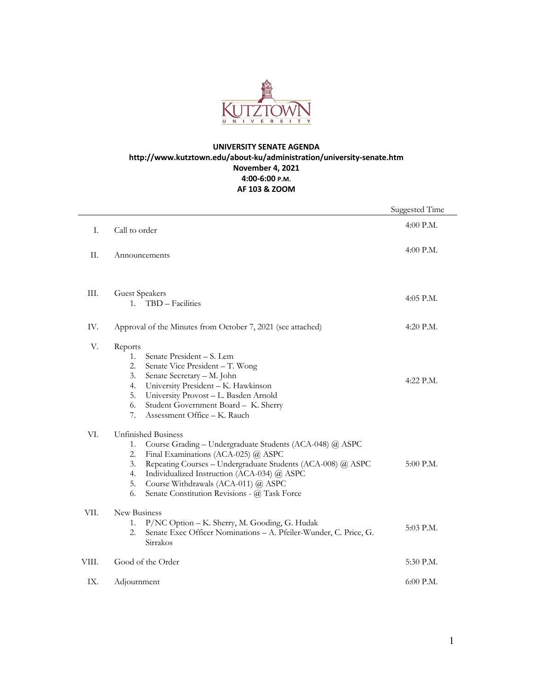

## **UNIVERSITY SENATE AGENDA http://www.kutztown.edu/about-ku/administration/university-senate.htm November 4, 2021 4:00-6:00 P.M. AF 103 & ZOOM**

|       |                                                                                                                                                                                                                                                                                                                                                                        | Suggested Time |
|-------|------------------------------------------------------------------------------------------------------------------------------------------------------------------------------------------------------------------------------------------------------------------------------------------------------------------------------------------------------------------------|----------------|
| I.    | Call to order                                                                                                                                                                                                                                                                                                                                                          | $4:00$ P.M.    |
| II.   | Announcements                                                                                                                                                                                                                                                                                                                                                          | 4:00 P.M.      |
|       |                                                                                                                                                                                                                                                                                                                                                                        |                |
| Ш.    | <b>Guest Speakers</b><br>1. TBD - Facilities                                                                                                                                                                                                                                                                                                                           | 4:05 P.M.      |
| IV.   | Approval of the Minutes from October 7, 2021 (see attached)                                                                                                                                                                                                                                                                                                            | 4:20 P.M.      |
| V.    | Reports<br>Senate President - S. Lem<br>$1_{\ldots}$<br>Senate Vice President - T. Wong<br>2.<br>Senate Secretary - M. John<br>3.<br>University President - K. Hawkinson<br>4.<br>5.<br>University Provost - L. Basden Arnold<br>Student Government Board - K. Sherry<br>6.<br>7.<br>Assessment Office - K. Rauch                                                      | 4:22 P.M.      |
| VI.   | <b>Unfinished Business</b><br>Course Grading - Undergraduate Students (ACA-048) @ ASPC<br>1.<br>Final Examinations (ACA-025) @ ASPC<br>2.<br>Repeating Courses - Undergraduate Students (ACA-008) @ ASPC<br>3.<br>Individualized Instruction (ACA-034) @ ASPC<br>4.<br>Course Withdrawals (ACA-011) @ ASPC<br>5.<br>6.<br>Senate Constitution Revisions - @ Task Force | $5:00$ P.M.    |
| VII.  | New Business<br>P/NC Option - K. Sherry, M. Gooding, G. Hudak<br>1.<br>Senate Exec Officer Nominations - A. Pfeiler-Wunder, C. Price, G.<br>2.<br>Sirrakos                                                                                                                                                                                                             | 5:03 P.M.      |
| VIII. | Good of the Order                                                                                                                                                                                                                                                                                                                                                      | 5:30 P.M.      |
| IX.   | Adjournment                                                                                                                                                                                                                                                                                                                                                            | 6:00 P.M.      |